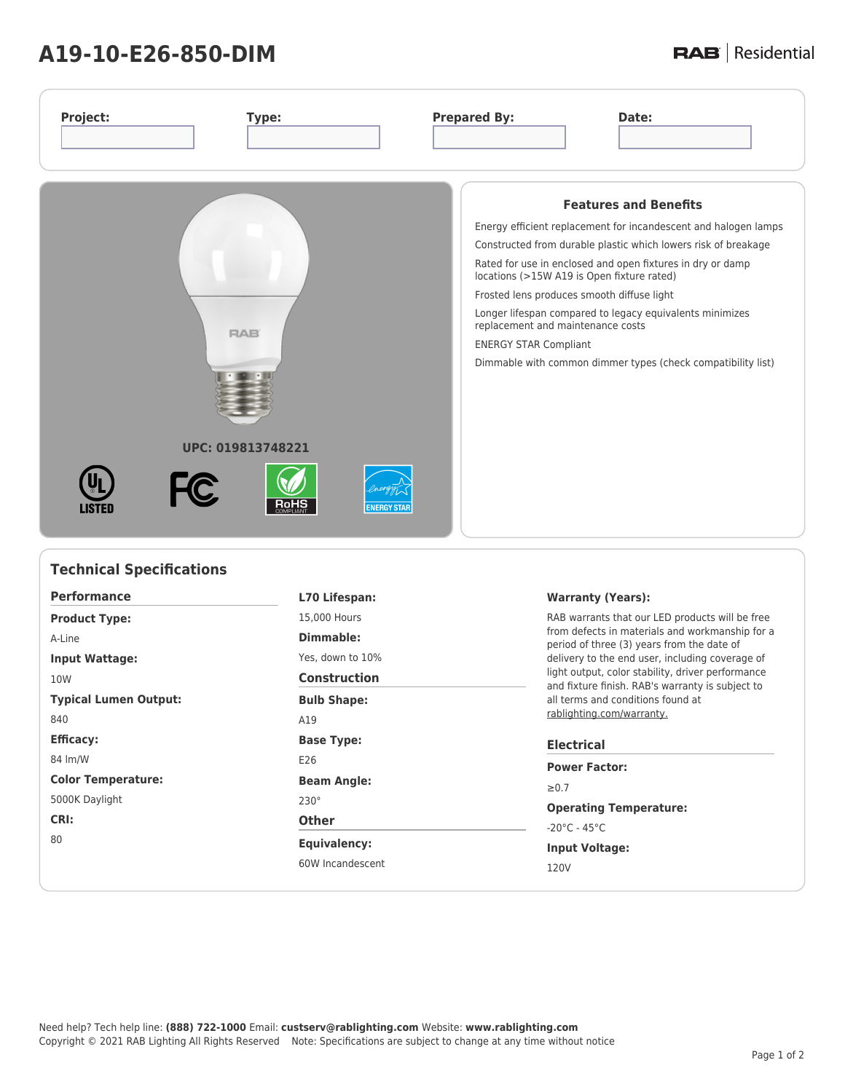## **A19-10-E26-850-DIM**

## **RAB** | Residential

| <b>Features and Benefits</b><br>Energy efficient replacement for incandescent and halogen lamps<br>Constructed from durable plastic which lowers risk of breakage<br>Rated for use in enclosed and open fixtures in dry or damp<br>locations (>15W A19 is Open fixture rated)<br>Frosted lens produces smooth diffuse light<br>Longer lifespan compared to legacy equivalents minimizes<br>replacement and maintenance costs<br><b>RAB</b><br><b>ENERGY STAR Compliant</b><br>Dimmable with common dimmer types (check compatibility list)<br>UPC: 019813748221<br><b>FC</b><br><b>ENERGY STAR</b><br>LISTEI | Project:<br>Type: | <b>Prepared By:</b><br>Date: |
|--------------------------------------------------------------------------------------------------------------------------------------------------------------------------------------------------------------------------------------------------------------------------------------------------------------------------------------------------------------------------------------------------------------------------------------------------------------------------------------------------------------------------------------------------------------------------------------------------------------|-------------------|------------------------------|
|                                                                                                                                                                                                                                                                                                                                                                                                                                                                                                                                                                                                              |                   |                              |

| <b>Technical Specifications</b> |                     |                                                                                                                                                                                                                                                                                                                                                                                |  |  |
|---------------------------------|---------------------|--------------------------------------------------------------------------------------------------------------------------------------------------------------------------------------------------------------------------------------------------------------------------------------------------------------------------------------------------------------------------------|--|--|
| <b>Performance</b>              | L70 Lifespan:       | <b>Warranty (Years):</b>                                                                                                                                                                                                                                                                                                                                                       |  |  |
| <b>Product Type:</b>            | 15,000 Hours        | RAB warrants that our LED products will be free<br>from defects in materials and workmanship for a<br>period of three (3) years from the date of<br>delivery to the end user, including coverage of<br>light output, color stability, driver performance<br>and fixture finish. RAB's warranty is subject to<br>all terms and conditions found at<br>rablighting.com/warranty. |  |  |
| A-Line                          | Dimmable:           |                                                                                                                                                                                                                                                                                                                                                                                |  |  |
| <b>Input Wattage:</b>           | Yes, down to 10%    |                                                                                                                                                                                                                                                                                                                                                                                |  |  |
| 10W                             | <b>Construction</b> |                                                                                                                                                                                                                                                                                                                                                                                |  |  |
| <b>Typical Lumen Output:</b>    | <b>Bulb Shape:</b>  |                                                                                                                                                                                                                                                                                                                                                                                |  |  |
| 840                             | A19                 |                                                                                                                                                                                                                                                                                                                                                                                |  |  |
| <b>Efficacy:</b>                | <b>Base Type:</b>   | <b>Electrical</b>                                                                                                                                                                                                                                                                                                                                                              |  |  |
| 84 lm/W                         | E26                 | <b>Power Factor:</b>                                                                                                                                                                                                                                                                                                                                                           |  |  |
| <b>Color Temperature:</b>       | <b>Beam Angle:</b>  | $\geq 0.7$                                                                                                                                                                                                                                                                                                                                                                     |  |  |
| 5000K Daylight                  | $230^\circ$         | <b>Operating Temperature:</b>                                                                                                                                                                                                                                                                                                                                                  |  |  |
| CRI:                            | <b>Other</b>        | $-20^{\circ}$ C - 45 $^{\circ}$ C                                                                                                                                                                                                                                                                                                                                              |  |  |
| 80                              | <b>Equivalency:</b> | <b>Input Voltage:</b>                                                                                                                                                                                                                                                                                                                                                          |  |  |
|                                 | 60W Incandescent    | 120V                                                                                                                                                                                                                                                                                                                                                                           |  |  |